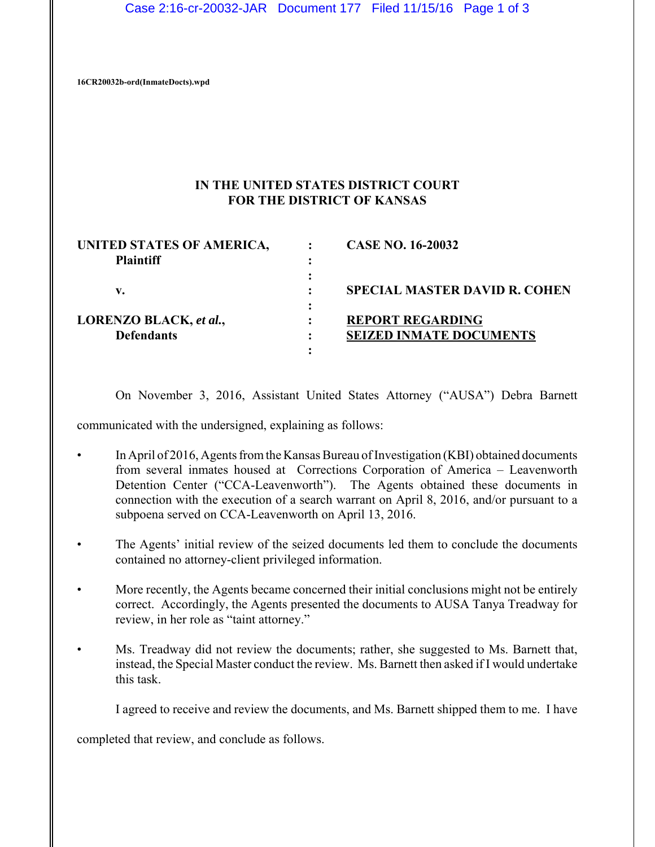Case 2:16-cr-20032-JAR Document 177 Filed 11/15/16 Page 1 of 3

**16CR20032b-ord(InmateDocts).wpd**

## **IN THE UNITED STATES DISTRICT COURT FOR THE DISTRICT OF KANSAS**

| UNITED STATES OF AMERICA, | <b>CASE NO. 16-20032</b>             |
|---------------------------|--------------------------------------|
| <b>Plaintiff</b>          |                                      |
|                           |                                      |
| v.                        | <b>SPECIAL MASTER DAVID R. COHEN</b> |
|                           |                                      |
| LORENZO BLACK, et al.,    | <b>REPORT REGARDING</b>              |
| <b>Defendants</b>         | <b>SEIZED INMATE DOCUMENTS</b>       |
|                           |                                      |

On November 3, 2016, Assistant United States Attorney ("AUSA") Debra Barnett

communicated with the undersigned, explaining as follows:

- In April of 2016, Agents from the Kansas Bureau of Investigation (KBI) obtained documents from several inmates housed at Corrections Corporation of America – Leavenworth Detention Center ("CCA-Leavenworth"). The Agents obtained these documents in connection with the execution of a search warrant on April 8, 2016, and/or pursuant to a subpoena served on CCA-Leavenworth on April 13, 2016.
- The Agents' initial review of the seized documents led them to conclude the documents contained no attorney-client privileged information.
- More recently, the Agents became concerned their initial conclusions might not be entirely correct. Accordingly, the Agents presented the documents to AUSA Tanya Treadway for review, in her role as "taint attorney."
- Ms. Treadway did not review the documents; rather, she suggested to Ms. Barnett that, instead, the Special Master conduct the review. Ms. Barnett then asked if I would undertake this task.

I agreed to receive and review the documents, and Ms. Barnett shipped them to me. I have

completed that review, and conclude as follows.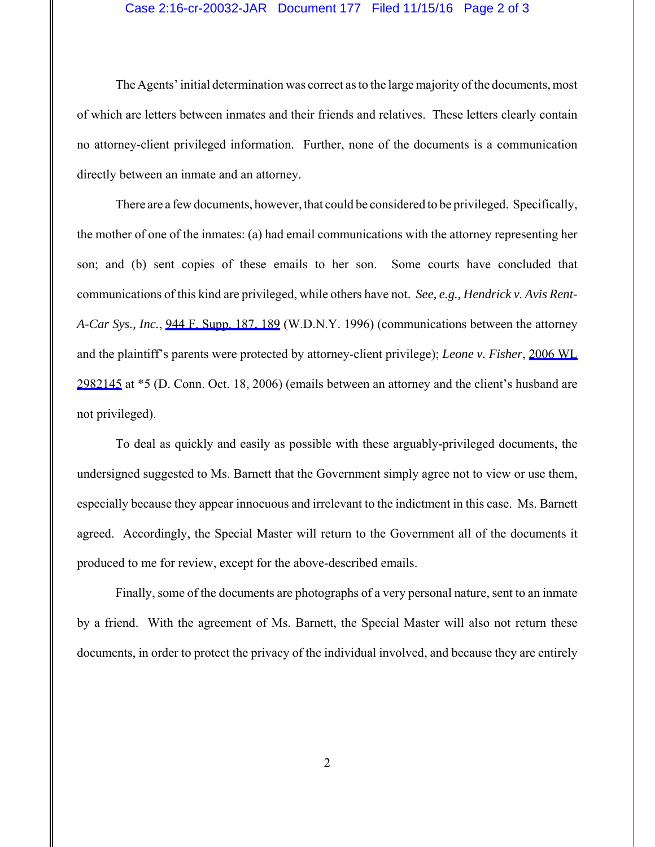## Case 2:16-cr-20032-JAR Document 177 Filed 11/15/16 Page 2 of 3

The Agents' initial determination was correct as to the large majority of the documents, most of which are letters between inmates and their friends and relatives. These letters clearly contain no attorney-client privileged information. Further, none of the documents is a communication directly between an inmate and an attorney.

There are a few documents, however, that could be considered to be privileged. Specifically, the mother of one of the inmates: (a) had email communications with the attorney representing her son; and (b) sent copies of these emails to her son. Some courts have concluded that communications of this kind are privileged, while others have not. *See, e.g., Hendrick v. Avis Rent-A-Car Sys., Inc.*, [944 F. Supp. 187, 189](https://www.westlaw.com/Link/Document/FullText?rs=USCLink&vr=3.0&findType=Y&cite=944+f.+supp.+187&refPos=189&refPosType=s&clientid=USCourts) (W.D.N.Y. 1996) (communications between the attorney and the plaintiff's parents were protected by attorney-client privilege); *Leone v. Fisher*, [2006 WL](https://www.westlaw.com/Link/Document/FullText?rs=USCLink&vr=3.0&findType=Y&cite=2006+wl++2982145&refPos=2982145&refPosType=s&clientid=USCourts) [2982145](https://www.westlaw.com/Link/Document/FullText?rs=USCLink&vr=3.0&findType=Y&cite=2006+wl++2982145&refPos=2982145&refPosType=s&clientid=USCourts) at \*5 (D. Conn. Oct. 18, 2006) (emails between an attorney and the client's husband are not privileged).

To deal as quickly and easily as possible with these arguably-privileged documents, the undersigned suggested to Ms. Barnett that the Government simply agree not to view or use them, especially because they appear innocuous and irrelevant to the indictment in this case. Ms. Barnett agreed. Accordingly, the Special Master will return to the Government all of the documents it produced to me for review, except for the above-described emails.

Finally, some of the documents are photographs of a very personal nature, sent to an inmate by a friend. With the agreement of Ms. Barnett, the Special Master will also not return these documents, in order to protect the privacy of the individual involved, and because they are entirely